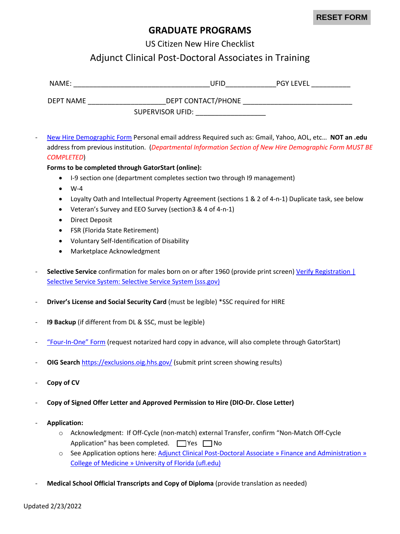## **GRADUATE PROGRAMS**

US Citizen New Hire Checklist

## Adjunct Clinical Post-Doctoral Associates in Training

| NAME:     |                         | UFID | <b>PGY LEVEL</b> |
|-----------|-------------------------|------|------------------|
| DEPT NAME | DEPT CONTACT/PHONE      |      |                  |
|           | <b>SUPERVISOR UFID:</b> |      |                  |

- [New Hire Demographic Form](https://hr.ufl.edu/wp-content/uploads/2018/04/demographic_form.pdf) Personal email address Required such as: Gmail, Yahoo, AOL, etc… **NOT an .edu** address from previous institution. (*Departmental Information Section of New Hire Demographic Form MUST BE COMPLETED*)

#### **Forms to be completed through GatorStart (online):**

- I-9 section one (department completes section two through I9 management)
- $\bullet$  W-4
- Loyalty Oath and Intellectual Property Agreement (sections 1 & 2 of 4-n-1) Duplicate task, see below
- Veteran's Survey and EEO Survey (section3 & 4 of 4-n-1)
- Direct Deposit
- FSR (Florida State Retirement)
- Voluntary Self-Identification of Disability
- Marketplace Acknowledgment
- **Selective Service** confirmation for males born on or after 1960 (provide print screen) [Verify Registration |](https://www.sss.gov/verify/)  Selective Service System: [Selective Service System \(sss.gov\)](https://www.sss.gov/verify/)
- **Driver's License and Social Security Card** (must be legible) \*SSC required for HIRE
- **I9 Backup** (if different from DL & SSC, must be legible)
- ["Four-In-One" Form](https://hr.ufl.edu/wp-content/uploads/2018/04/fourinone.pdf) (request notarized hard copy in advance, will also complete through GatorStart)
- **OIG Search** <https://exclusions.oig.hhs.gov/> (submit print screen showing results)
- **Copy of CV**
- **Copy of Signed Offer Letter and Approved Permission to Hire (DIO-Dr. Close Letter)**
- **Application:** 
	- o Acknowledgment: If Off-Cycle (non-match) external Transfer, confirm "Non-Match Off-Cycle Application" has been completed.  $\Box$  Yes  $\Box$  No
	- $\circ$  See Application options here: Adjunct Clinical Post-Doctoral Associate » Finance and Administration » [College of Medicine » University of Florida \(ufl.edu\)](https://financeadmin.med.ufl.edu/graduate-programs/academic-ops-faculty/)
- **Medical School Official Transcripts and Copy of Diploma** (provide translation as needed)

Updated 2/23/2022